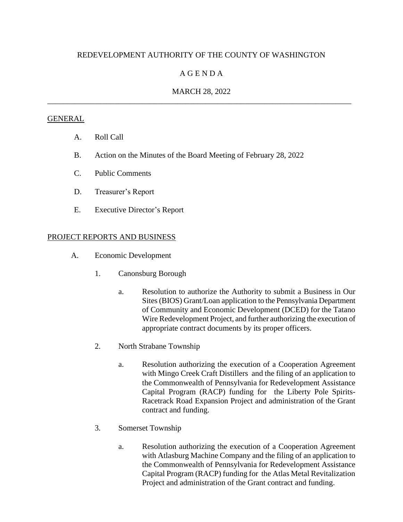## REDEVELOPMENT AUTHORITY OF THE COUNTY OF WASHINGTON

### A G E N D A

## MARCH 28, 2022 \_\_\_\_\_\_\_\_\_\_\_\_\_\_\_\_\_\_\_\_\_\_\_\_\_\_\_\_\_\_\_\_\_\_\_\_\_\_\_\_\_\_\_\_\_\_\_\_\_\_\_\_\_\_\_\_\_\_\_\_\_\_\_\_\_\_\_\_\_\_\_\_\_\_\_\_\_

#### **GENERAL**

- A. Roll Call
- B. Action on the Minutes of the Board Meeting of February 28, 2022
- C. Public Comments
- D. Treasurer's Report
- E. Executive Director's Report

#### PROJECT REPORTS AND BUSINESS

- A. Economic Development
	- 1. Canonsburg Borough
		- a. Resolution to authorize the Authority to submit a Business in Our Sites (BIOS) Grant/Loan application to the Pennsylvania Department of Community and Economic Development (DCED) for the Tatano Wire Redevelopment Project, and further authorizing the execution of appropriate contract documents by its proper officers.
	- 2. North Strabane Township
		- a. Resolution authorizing the execution of a Cooperation Agreement with Mingo Creek Craft Distillers and the filing of an application to the Commonwealth of Pennsylvania for Redevelopment Assistance Capital Program (RACP) funding for the Liberty Pole Spirits-Racetrack Road Expansion Project and administration of the Grant contract and funding.
	- 3. Somerset Township
		- a. Resolution authorizing the execution of a Cooperation Agreement with Atlasburg Machine Company and the filing of an application to the Commonwealth of Pennsylvania for Redevelopment Assistance Capital Program (RACP) funding for the Atlas Metal Revitalization Project and administration of the Grant contract and funding.